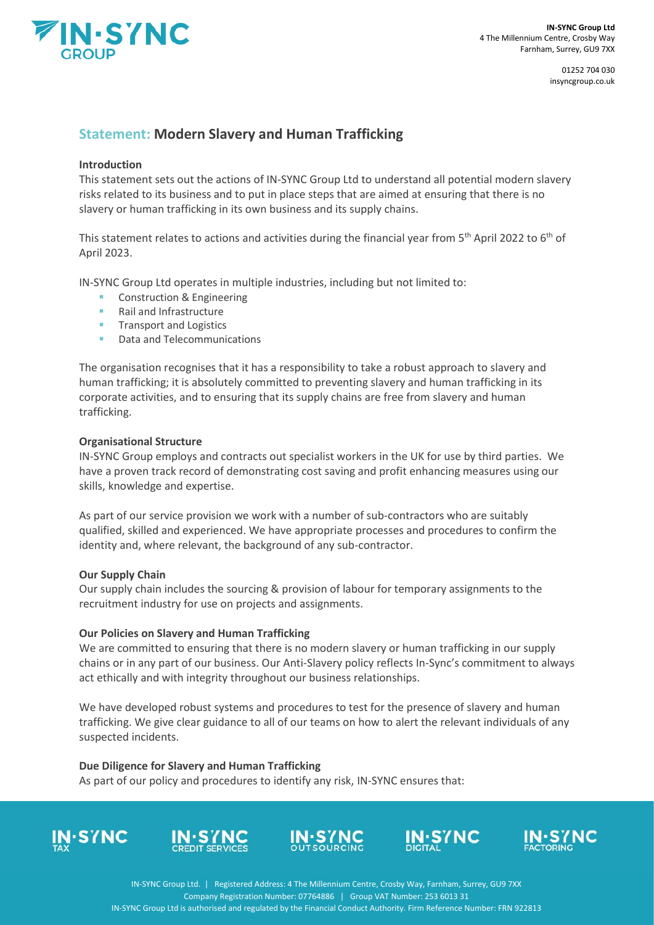

01252 704 030 insyncgroup.co.uk

# **Statement: Modern Slavery and Human Trafficking**

# **Introduction**

This statement sets out the actions of IN-SYNC Group Ltd to understand all potential modern slavery risks related to its business and to put in place steps that are aimed at ensuring that there is no slavery or human trafficking in its own business and its supply chains.

This statement relates to actions and activities during the financial year from 5<sup>th</sup> April 2022 to 6<sup>th</sup> of April 2023.

IN-SYNC Group Ltd operates in multiple industries, including but not limited to:

- Construction & Engineering
- Rail and Infrastructure
- **■** Transport and Logistics
- Data and Telecommunications

The organisation recognises that it has a responsibility to take a robust approach to slavery and human trafficking; it is absolutely committed to preventing slavery and human trafficking in its corporate activities, and to ensuring that its supply chains are free from slavery and human trafficking.

### **Organisational Structure**

IN-SYNC Group employs and contracts out specialist workers in the UK for use by third parties. We have a proven track record of demonstrating cost saving and profit enhancing measures using our skills, knowledge and expertise.

As part of our service provision we work with a number of sub-contractors who are suitably qualified, skilled and experienced. We have appropriate processes and procedures to confirm the identity and, where relevant, the background of any sub-contractor.

### **Our Supply Chain**

Our supply chain includes the sourcing & provision of labour for temporary assignments to the recruitment industry for use on projects and assignments.

### **Our Policies on Slavery and Human Trafficking**

We are committed to ensuring that there is no modern slavery or human trafficking in our supply chains or in any part of our business. Our Anti-Slavery policy reflects In-Sync's commitment to always act ethically and with integrity throughout our business relationships.

We have developed robust systems and procedures to test for the presence of slavery and human trafficking. We give clear guidance to all of our teams on how to alert the relevant individuals of any suspected incidents.

### **Due Diligence for Slavery and Human Trafficking**

As part of our policy and procedures to identify any risk, IN-SYNC ensures that:











IN-SYNC Group Ltd. | Registered Address: 4 The Millennium Centre, Crosby Way, Farnham, Surrey, GU9 7XX Company Registration Number: 07764886 | Group VAT Number: 253 6013 31 IN-SYNC Group Ltd is authorised and regulated by the Financial Conduct Authority. Firm Reference Number: FRN 922813